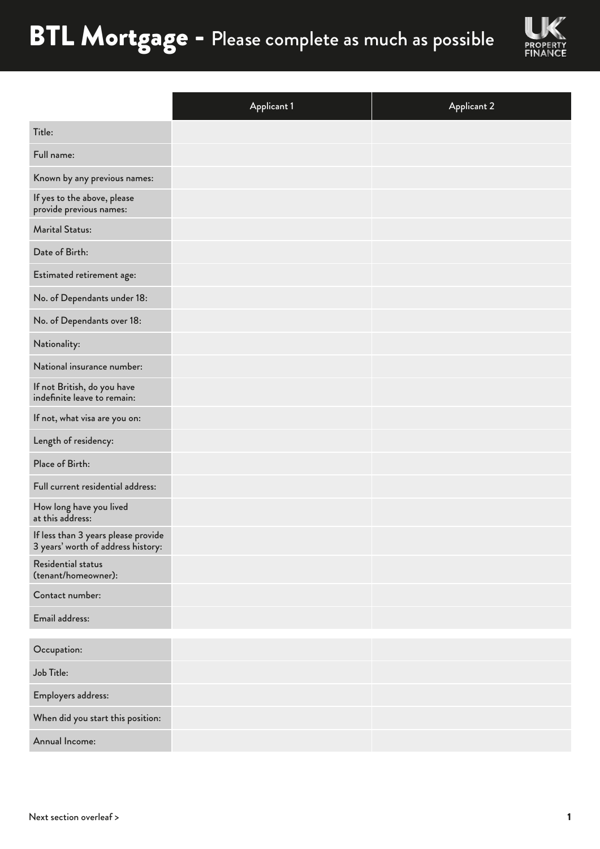

|                                                                           | <b>Applicant 1</b> | <b>Applicant 2</b> |
|---------------------------------------------------------------------------|--------------------|--------------------|
| Title:                                                                    |                    |                    |
| Full name:                                                                |                    |                    |
| Known by any previous names:                                              |                    |                    |
| If yes to the above, please<br>provide previous names:                    |                    |                    |
| <b>Marital Status:</b>                                                    |                    |                    |
| Date of Birth:                                                            |                    |                    |
| Estimated retirement age:                                                 |                    |                    |
| No. of Dependants under 18:                                               |                    |                    |
| No. of Dependants over 18:                                                |                    |                    |
| Nationality:                                                              |                    |                    |
| National insurance number:                                                |                    |                    |
| If not British, do you have<br>indefinite leave to remain:                |                    |                    |
| If not, what visa are you on:                                             |                    |                    |
| Length of residency:                                                      |                    |                    |
| Place of Birth:                                                           |                    |                    |
| Full current residential address:                                         |                    |                    |
| How long have you lived<br>at this address:                               |                    |                    |
| If less than 3 years please provide<br>3 years' worth of address history: |                    |                    |
| Residential status<br>(tenant/homeowner):                                 |                    |                    |
| Contact number:                                                           |                    |                    |
| Email address:                                                            |                    |                    |
| Occupation:                                                               |                    |                    |
| Job Title:                                                                |                    |                    |
| Employers address:                                                        |                    |                    |
| When did you start this position:                                         |                    |                    |
| Annual Income:                                                            |                    |                    |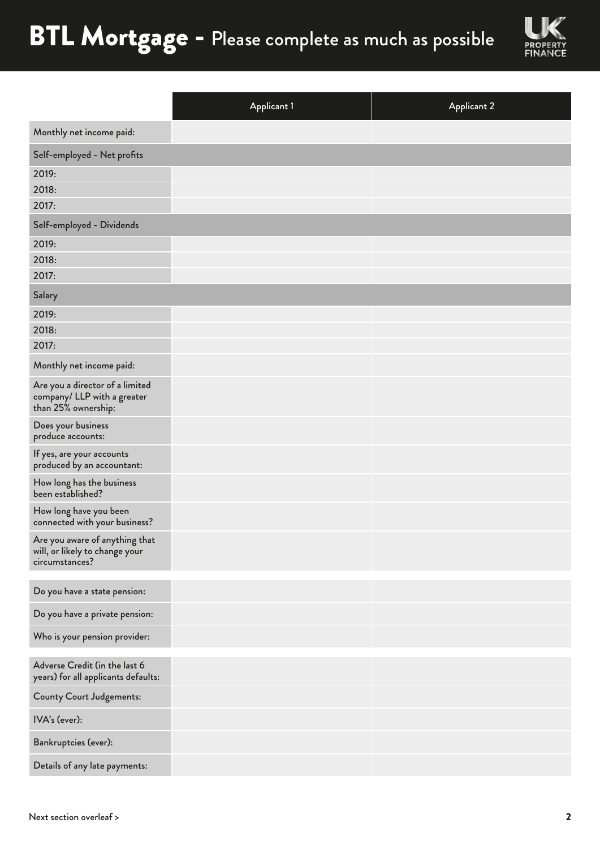

|                                                                                       | <b>Applicant 1</b> | <b>Applicant 2</b> |
|---------------------------------------------------------------------------------------|--------------------|--------------------|
| Monthly net income paid:                                                              |                    |                    |
| Self-employed - Net profits                                                           |                    |                    |
| 2019:                                                                                 |                    |                    |
| 2018:                                                                                 |                    |                    |
| 2017:                                                                                 |                    |                    |
| Self-employed - Dividends                                                             |                    |                    |
| 2019:                                                                                 |                    |                    |
| 2018:                                                                                 |                    |                    |
| 2017:                                                                                 |                    |                    |
| Salary                                                                                |                    |                    |
| 2019:                                                                                 |                    |                    |
| 2018:                                                                                 |                    |                    |
| 2017:                                                                                 |                    |                    |
| Monthly net income paid:                                                              |                    |                    |
| Are you a director of a limited<br>company/ LLP with a greater<br>than 25% ownership: |                    |                    |
| Does your business<br>produce accounts:                                               |                    |                    |
| If yes, are your accounts<br>produced by an accountant:                               |                    |                    |
| How long has the business<br>been established?                                        |                    |                    |
| How long have you been<br>connected with your business?                               |                    |                    |
| Are you aware of anything that<br>will, or likely to change your<br>circumstances?    |                    |                    |
| Do you have a state pension:                                                          |                    |                    |
| Do you have a private pension:                                                        |                    |                    |
| Who is your pension provider:                                                         |                    |                    |
| Adverse Credit (in the last 6<br>years) for all applicants defaults:                  |                    |                    |
| County Court Judgements:                                                              |                    |                    |
| IVA's (ever):                                                                         |                    |                    |
| Bankruptcies (ever):                                                                  |                    |                    |
| Details of any late payments:                                                         |                    |                    |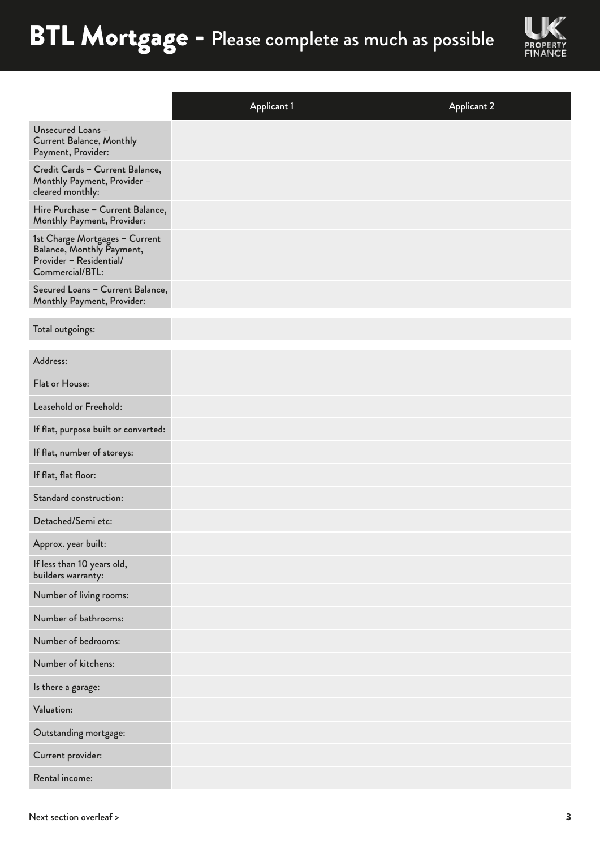

|                                                                                                           | <b>Applicant 1</b> | <b>Applicant 2</b> |
|-----------------------------------------------------------------------------------------------------------|--------------------|--------------------|
| Unsecured Loans -<br><b>Current Balance, Monthly</b><br>Payment, Provider:                                |                    |                    |
| Credit Cards - Current Balance,<br>Monthly Payment, Provider -<br>cleared monthly:                        |                    |                    |
| Hire Purchase - Current Balance,<br>Monthly Payment, Provider:                                            |                    |                    |
| 1st Charge Mortgages - Current<br>Balance, Monthly Payment,<br>Provider - Residential/<br>Commercial/BTL: |                    |                    |
| Secured Loans - Current Balance,<br>Monthly Payment, Provider:                                            |                    |                    |
| Total outgoings:                                                                                          |                    |                    |
| Address:                                                                                                  |                    |                    |
| Flat or House:                                                                                            |                    |                    |
| Leasehold or Freehold:                                                                                    |                    |                    |
| If flat, purpose built or converted:                                                                      |                    |                    |
| If flat, number of storeys:                                                                               |                    |                    |
| If flat, flat floor:                                                                                      |                    |                    |
| Standard construction:                                                                                    |                    |                    |
| Detached/Semi etc:                                                                                        |                    |                    |
| Approx. year built:                                                                                       |                    |                    |
| If less than 10 years old,<br>builders warranty:                                                          |                    |                    |
| Number of living rooms:                                                                                   |                    |                    |
| Number of bathrooms:                                                                                      |                    |                    |
| Number of bedrooms:                                                                                       |                    |                    |
| Number of kitchens:                                                                                       |                    |                    |
| Is there a garage:                                                                                        |                    |                    |
| Valuation:                                                                                                |                    |                    |
| Outstanding mortgage:                                                                                     |                    |                    |
| Current provider:                                                                                         |                    |                    |
| Rental income:                                                                                            |                    |                    |